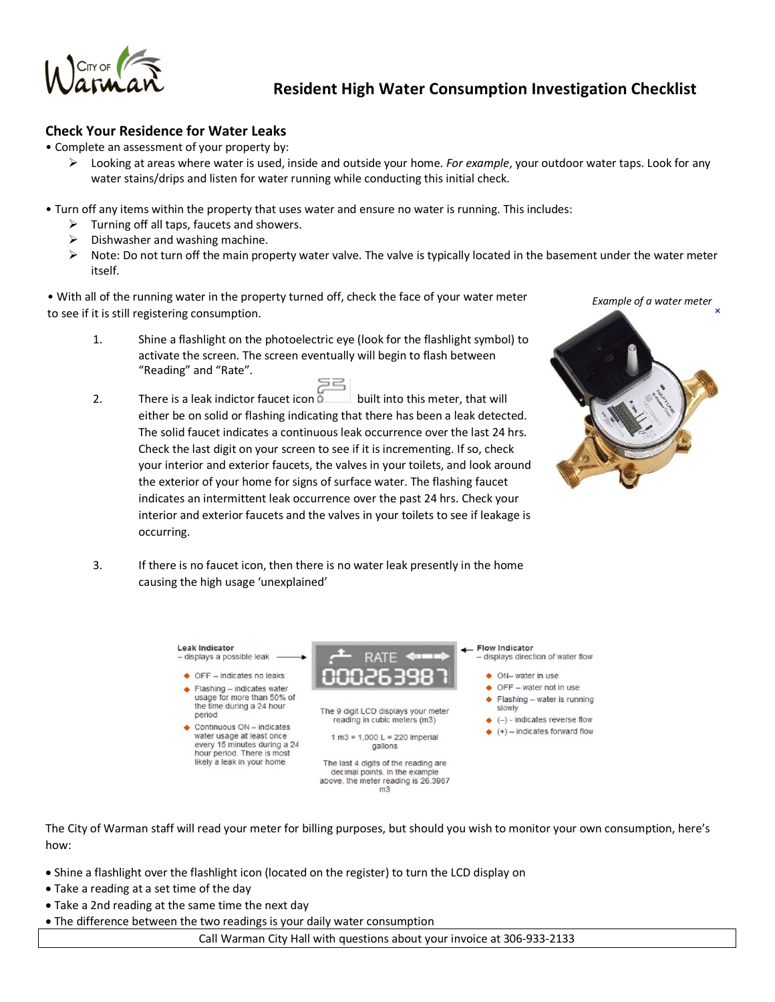

## **Resident High Water Consumption Investigation Checklist**

## **Check Your Residence for Water Leaks**

• Complete an assessment of your property by:

- ÿ Looking at areas where water is used, inside and outside your home. *For example*, your outdoor water taps. Look for any water stains/drips and listen for water running while conducting this initial check.
- Turn off any items within the property that uses water and ensure no water is running. This includes:
	- $\triangleright$  Turning off all taps, faucets and showers.
	- Dishwasher and washing machine.
	- ÿ Note: Do not turn off the main property water valve. The valve is typically located in the basement under the water meter itself.

• With all of the running water in the property turned off, check the face of your water meter to see if it is still registering consumption.

- 1. Shine a flashlight on the photoelectric eye (look for the flashlight symbol) to activate the screen. The screen eventually will begin to flash between "Reading" and "Rate".
- 2. There is a leak indictor faucet icon  $\overline{\bullet}$  built into this meter, that will either be on solid or flashing indicating that there has been a leak detected. The solid faucet indicates a continuous leak occurrence over the last 24 hrs. Check the last digit on your screen to see if it is incrementing. If so, check your interior and exterior faucets, the valves in your toilets, and look around the exterior of your home for signs of surface water. The flashing faucet indicates an intermittent leak occurrence over the past 24 hrs. Check your interior and exterior faucets and the valves in your toilets to see if leakage is occurring.

3. If there is no faucet icon, then there is no water leak presently in the home



**Leak Indicator** \_ Flow Indicator - displays a possible leak  $\bullet$  OFF - indicates no leaks ♦ ON- water in use  $\bullet$  OFF - water not in use  $\bullet$  Flashing - indicates water usage for more than 50% of  $\blacklozenge$  Flashing – water is running the time during a 24 hour slowly The 9 digit LCD displays your meter period reading in cubic meters (m3)  $\leftrightarrow$  (-) - indicates reverse flow  $\bullet$  Continuous ON - indicates  $(+)$  – indicates forward flow water usage at least once  $1 m3 = 1,000 L = 220$  Imperial every 15 minutes during a 24 gallons hour period. There is most likely a leak in your home The last 4 digits of the reading are

decimal points. In the example above, the meter reading is 26.3987  $m<sub>3</sub>$ 

- displays direction of water flow
	-
	-
	-
- The City of Warman staff will read your meter for billing purposes, but should you wish to monitor your own consumption, here's how:
	- · Shine a flashlight over the flashlight icon (located on the register) to turn the LCD display on
	- · Take a reading at a set time of the day
	- · Take a 2nd reading at the same time the next day
	- · The difference between the two readings is your daily water consumption

causing the high usage 'unexplained'

Call Warman City Hall with questions about your invoice at 306-933-2133